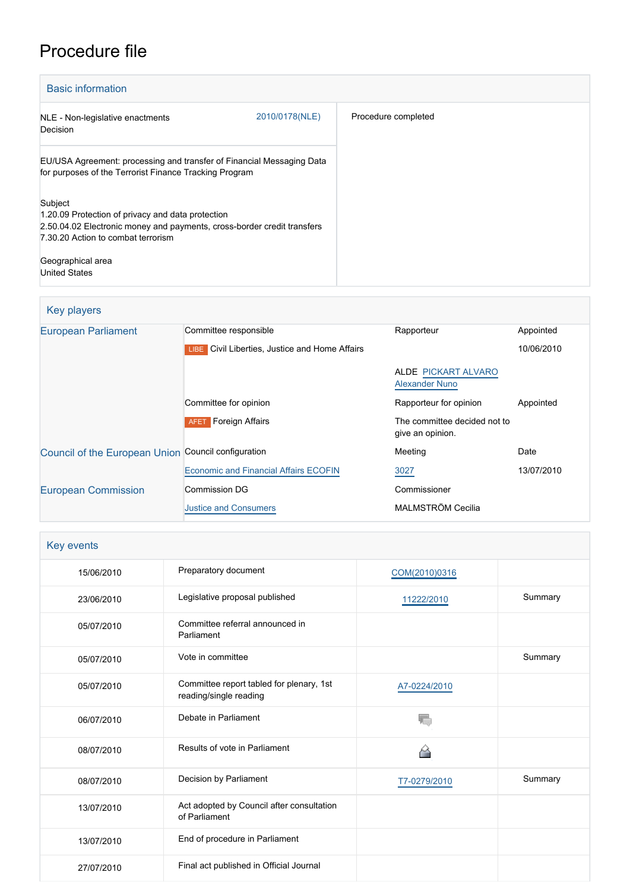# Procedure file

| <b>Basic information</b>                                                                                                                                                      |                |                     |
|-------------------------------------------------------------------------------------------------------------------------------------------------------------------------------|----------------|---------------------|
| NLE - Non-legislative enactments<br>Decision                                                                                                                                  | 2010/0178(NLE) | Procedure completed |
| EU/USA Agreement: processing and transfer of Financial Messaging Data<br>for purposes of the Terrorist Finance Tracking Program                                               |                |                     |
| Subject<br>1.20.09 Protection of privacy and data protection<br>2.50.04.02 Electronic money and payments, cross-border credit transfers<br>7.30.20 Action to combat terrorism |                |                     |
| Geographical area<br><b>United States</b>                                                                                                                                     |                |                     |

#### Key players

| <b>European Parliament</b>                          | Committee responsible                                 | Rapporteur                                       | Appointed  |
|-----------------------------------------------------|-------------------------------------------------------|--------------------------------------------------|------------|
|                                                     | <b>LIBE</b> Civil Liberties, Justice and Home Affairs |                                                  | 10/06/2010 |
|                                                     |                                                       | ALDE PICKART ALVARO<br><b>Alexander Nuno</b>     |            |
|                                                     | Committee for opinion                                 | Rapporteur for opinion                           | Appointed  |
|                                                     | Foreign Affairs<br><b>AFET</b>                        | The committee decided not to<br>give an opinion. |            |
| Council of the European Union Council configuration |                                                       | Meeting                                          | Date       |
|                                                     | <b>Economic and Financial Affairs ECOFIN</b>          | 3027                                             | 13/07/2010 |
| <b>European Commission</b>                          | <b>Commission DG</b>                                  | Commissioner                                     |            |
|                                                     | <b>Justice and Consumers</b>                          | <b>MALMSTRÖM Cecilia</b>                         |            |
|                                                     |                                                       |                                                  |            |

| Key events |                                                                    |               |         |
|------------|--------------------------------------------------------------------|---------------|---------|
| 15/06/2010 | Preparatory document                                               | COM(2010)0316 |         |
| 23/06/2010 | Legislative proposal published                                     | 11222/2010    | Summary |
| 05/07/2010 | Committee referral announced in<br>Parliament                      |               |         |
| 05/07/2010 | Vote in committee                                                  |               | Summary |
| 05/07/2010 | Committee report tabled for plenary, 1st<br>reading/single reading | A7-0224/2010  |         |
| 06/07/2010 | Debate in Parliament                                               |               |         |
| 08/07/2010 | Results of vote in Parliament                                      | ۵             |         |
| 08/07/2010 | Decision by Parliament                                             | T7-0279/2010  | Summary |
| 13/07/2010 | Act adopted by Council after consultation<br>of Parliament         |               |         |
| 13/07/2010 | End of procedure in Parliament                                     |               |         |
| 27/07/2010 | Final act published in Official Journal                            |               |         |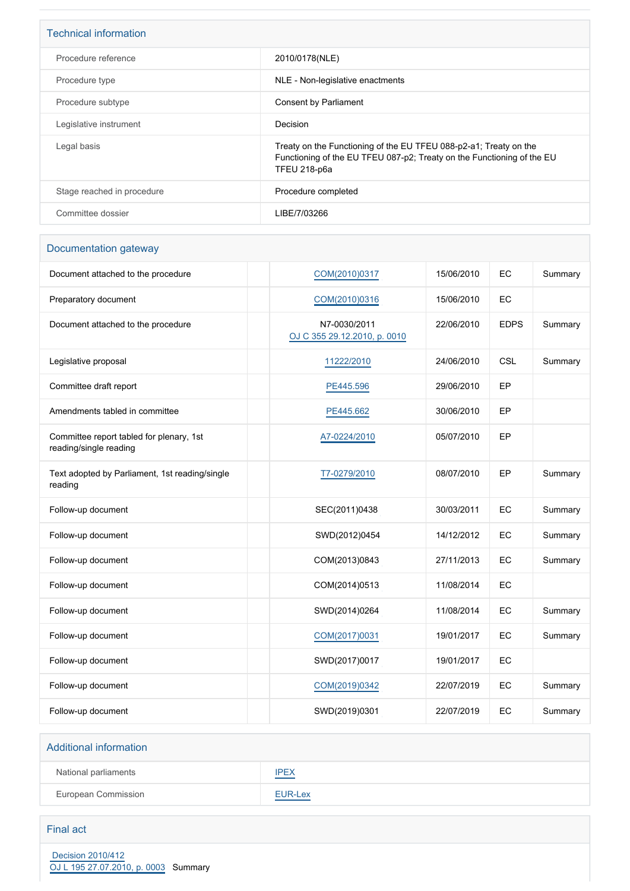| <b>Technical information</b> |                                                                                                                                                             |
|------------------------------|-------------------------------------------------------------------------------------------------------------------------------------------------------------|
| Procedure reference          | 2010/0178(NLE)                                                                                                                                              |
| Procedure type               | NLE - Non-legislative enactments                                                                                                                            |
| Procedure subtype            | <b>Consent by Parliament</b>                                                                                                                                |
| Legislative instrument       | Decision                                                                                                                                                    |
| Legal basis                  | Treaty on the Functioning of the EU TFEU 088-p2-a1; Treaty on the<br>Functioning of the EU TFEU 087-p2; Treaty on the Functioning of the EU<br>TFEU 218-p6a |
| Stage reached in procedure   | Procedure completed                                                                                                                                         |
| Committee dossier            | LIBE/7/03266                                                                                                                                                |

#### Documentation gateway

| COM(2010)0317                                | 15/06/2010 | EC          | Summary |
|----------------------------------------------|------------|-------------|---------|
| COM(2010)0316                                | 15/06/2010 | EC          |         |
| N7-0030/2011<br>OJ C 355 29.12.2010, p. 0010 | 22/06/2010 | <b>EDPS</b> | Summary |
| 11222/2010                                   | 24/06/2010 | CSL         | Summary |
| PE445.596                                    | 29/06/2010 | EP          |         |
| PE445.662                                    | 30/06/2010 | EP          |         |
| A7-0224/2010                                 | 05/07/2010 | EP          |         |
| T7-0279/2010                                 | 08/07/2010 | EP          | Summary |
| SEC(2011)0438                                | 30/03/2011 | EC          | Summary |
| SWD(2012)0454                                | 14/12/2012 | EC          | Summary |
| COM(2013)0843                                | 27/11/2013 | EC          | Summary |
| COM(2014)0513                                | 11/08/2014 | EC          |         |
| SWD(2014)0264                                | 11/08/2014 | EC          | Summary |
| COM(2017)0031                                | 19/01/2017 | EC          | Summary |
| SWD(2017)0017                                | 19/01/2017 | EC          |         |
| COM(2019)0342                                | 22/07/2019 | EC          | Summary |
| SWD(2019)0301                                | 22/07/2019 | EC          | Summary |
|                                              |            |             |         |

#### Additional information

| National parliaments | <b>IPEX</b>                                         |
|----------------------|-----------------------------------------------------|
| European Commission  | <b>EUR-Lex</b><br>the control of the control of the |

#### Final act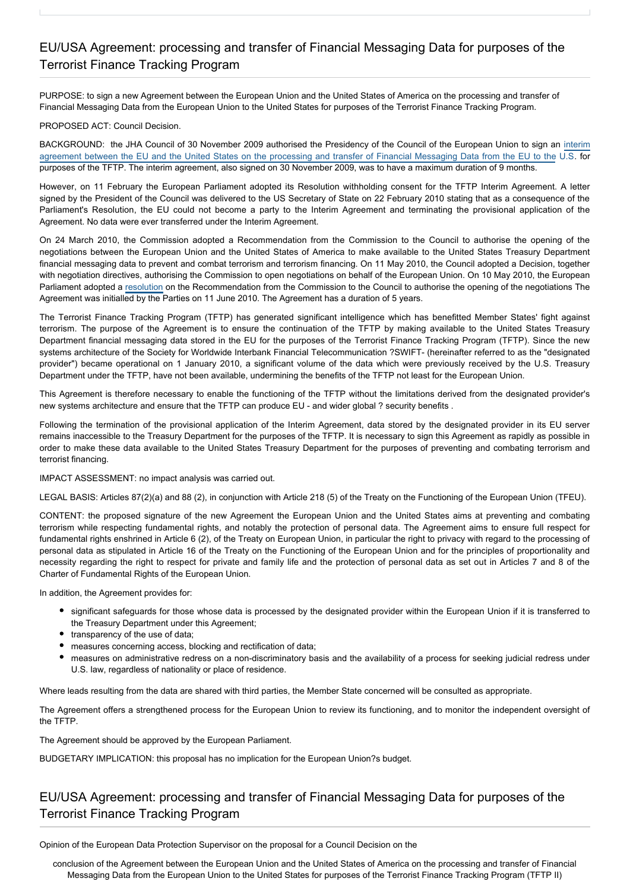### EU/USA Agreement: processing and transfer of Financial Messaging Data for purposes of the Terrorist Finance Tracking Program

PURPOSE: to sign a new Agreement between the European Union and the United States of America on the processing and transfer of Financial Messaging Data from the European Union to the United States for purposes of the Terrorist Finance Tracking Program.

PROPOSED ACT: Council Decision.

BACKGROUND: the JHA Council of 30 November 2009 authorised the Presidency of the Council of the European Union to sign an [interim](http://www.europarl.europa.eu/oeil/FindByProcnum.do?lang=en&procnum=NLE/2009/0190) [agreement between the EU and the United States on the processing and transfer of Financial Messaging Data from the EU to the](http://www.europarl.europa.eu/oeil/FindByProcnum.do?lang=en&procnum=NLE/2009/0190) U.S. for purposes of the TFTP. The interim agreement, also signed on 30 November 2009, was to have a maximum duration of 9 months.

However, on 11 February the European Parliament adopted its Resolution withholding consent for the TFTP Interim Agreement. A letter signed by the President of the Council was delivered to the US Secretary of State on 22 February 2010 stating that as a consequence of the Parliament's Resolution, the EU could not become a party to the Interim Agreement and terminating the provisional application of the Agreement. No data were ever transferred under the Interim Agreement.

On 24 March 2010, the Commission adopted a Recommendation from the Commission to the Council to authorise the opening of the negotiations between the European Union and the United States of America to make available to the United States Treasury Department financial messaging data to prevent and combat terrorism and terrorism financing. On 11 May 2010, the Council adopted a Decision, together with negotiation directives, authorising the Commission to open negotiations on behalf of the European Union. On 10 May 2010, the European Parliament adopted a [resolution](http://www.europarl.europa.eu/oeil/FindByProcnum.do?lang=en&procnum=RSP/2010/2649) on the Recommendation from the Commission to the Council to authorise the opening of the negotiations The Agreement was initialled by the Parties on 11 June 2010. The Agreement has a duration of 5 years.

The Terrorist Finance Tracking Program (TFTP) has generated significant intelligence which has benefitted Member States' fight against terrorism. The purpose of the Agreement is to ensure the continuation of the TFTP by making available to the United States Treasury Department financial messaging data stored in the EU for the purposes of the Terrorist Finance Tracking Program (TFTP). Since the new systems architecture of the Society for Worldwide Interbank Financial Telecommunication ?SWIFT- (hereinafter referred to as the "designated provider") became operational on 1 January 2010, a significant volume of the data which were previously received by the U.S. Treasury Department under the TFTP, have not been available, undermining the benefits of the TFTP not least for the European Union.

This Agreement is therefore necessary to enable the functioning of the TFTP without the limitations derived from the designated provider's new systems architecture and ensure that the TFTP can produce EU - and wider global ? security benefits .

Following the termination of the provisional application of the Interim Agreement, data stored by the designated provider in its EU server remains inaccessible to the Treasury Department for the purposes of the TFTP. It is necessary to sign this Agreement as rapidly as possible in order to make these data available to the United States Treasury Department for the purposes of preventing and combating terrorism and terrorist financing.

IMPACT ASSESSMENT: no impact analysis was carried out.

LEGAL BASIS: Articles 87(2)(a) and 88 (2), in conjunction with Article 218 (5) of the Treaty on the Functioning of the European Union (TFEU).

CONTENT: the proposed signature of the new Agreement the European Union and the United States aims at preventing and combating terrorism while respecting fundamental rights, and notably the protection of personal data. The Agreement aims to ensure full respect for fundamental rights enshrined in Article 6 (2), of the Treaty on European Union, in particular the right to privacy with regard to the processing of personal data as stipulated in Article 16 of the Treaty on the Functioning of the European Union and for the principles of proportionality and necessity regarding the right to respect for private and family life and the protection of personal data as set out in Articles 7 and 8 of the Charter of Fundamental Rights of the European Union.

In addition, the Agreement provides for:

- significant safeguards for those whose data is processed by the designated provider within the European Union if it is transferred to the Treasury Department under this Agreement;
- transparency of the use of data;
- measures concerning access, blocking and rectification of data;
- measures on administrative redress on a non-discriminatory basis and the availability of a process for seeking judicial redress under U.S. law, regardless of nationality or place of residence.

Where leads resulting from the data are shared with third parties, the Member State concerned will be consulted as appropriate.

The Agreement offers a strengthened process for the European Union to review its functioning, and to monitor the independent oversight of the TFTP.

The Agreement should be approved by the European Parliament.

BUDGETARY IMPLICATION: this proposal has no implication for the European Union?s budget.

#### EU/USA Agreement: processing and transfer of Financial Messaging Data for purposes of the Terrorist Finance Tracking Program

Opinion of the European Data Protection Supervisor on the proposal for a Council Decision on the

conclusion of the Agreement between the European Union and the United States of America on the processing and transfer of Financial Messaging Data from the European Union to the United States for purposes of the Terrorist Finance Tracking Program (TFTP II)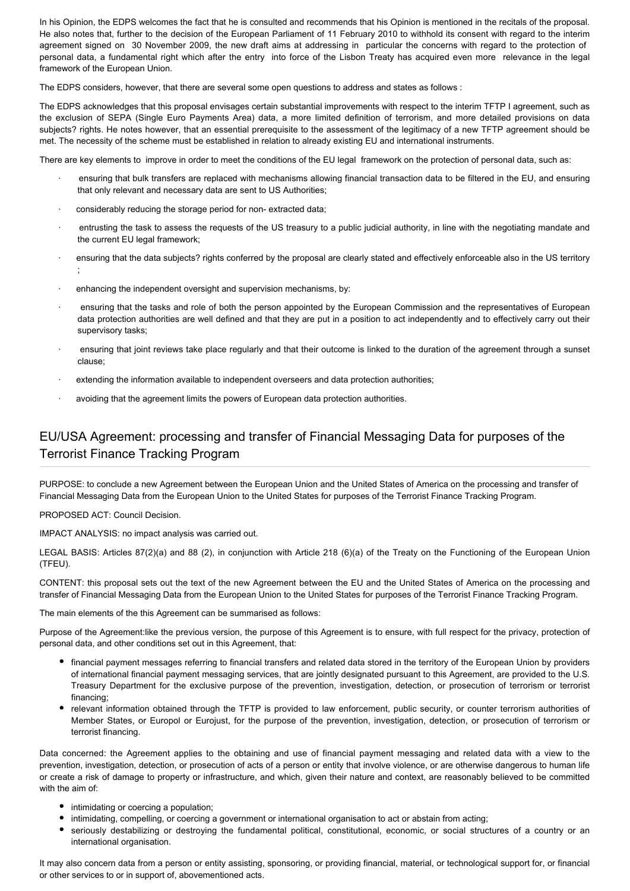In his Opinion, the EDPS welcomes the fact that he is consulted and recommends that his Opinion is mentioned in the recitals of the proposal. He also notes that, further to the decision of the European Parliament of 11 February 2010 to withhold its consent with regard to the interim agreement signed on 30 November 2009, the new draft aims at addressing in particular the concerns with regard to the protection of personal data, a fundamental right which after the entry into force of the Lisbon Treaty has acquired even more relevance in the legal framework of the European Union.

The EDPS considers, however, that there are several some open questions to address and states as follows :

The EDPS acknowledges that this proposal envisages certain substantial improvements with respect to the interim TFTP I agreement, such as the exclusion of SEPA (Single Euro Payments Area) data, a more limited definition of terrorism, and more detailed provisions on data subjects? rights. He notes however, that an essential prerequisite to the assessment of the legitimacy of a new TFTP agreement should be met. The necessity of the scheme must be established in relation to already existing EU and international instruments.

There are key elements to improve in order to meet the conditions of the EU legal framework on the protection of personal data, such as:

- · ensuring that bulk transfers are replaced with mechanisms allowing financial transaction data to be filtered in the EU, and ensuring that only relevant and necessary data are sent to US Authorities;
- · considerably reducing the storage period for non- extracted data;
- · entrusting the task to assess the requests of the US treasury to a public judicial authority, in line with the negotiating mandate and the current EU legal framework;
- · ensuring that the data subjects? rights conferred by the proposal are clearly stated and effectively enforceable also in the US territory ;
- enhancing the independent oversight and supervision mechanisms, by:
- ensuring that the tasks and role of both the person appointed by the European Commission and the representatives of European data protection authorities are well defined and that they are put in a position to act independently and to effectively carry out their supervisory tasks;
- ensuring that joint reviews take place regularly and that their outcome is linked to the duration of the agreement through a sunset clause;
- extending the information available to independent overseers and data protection authorities;
- avoiding that the agreement limits the powers of European data protection authorities.

#### EU/USA Agreement: processing and transfer of Financial Messaging Data for purposes of the Terrorist Finance Tracking Program

PURPOSE: to conclude a new Agreement between the European Union and the United States of America on the processing and transfer of Financial Messaging Data from the European Union to the United States for purposes of the Terrorist Finance Tracking Program.

PROPOSED ACT: Council Decision.

IMPACT ANALYSIS: no impact analysis was carried out.

LEGAL BASIS: Articles 87(2)(a) and 88 (2), in conjunction with Article 218 (6)(a) of the Treaty on the Functioning of the European Union (TFEU).

CONTENT: this proposal sets out the text of the new Agreement between the EU and the United States of America on the processing and transfer of Financial Messaging Data from the European Union to the United States for purposes of the Terrorist Finance Tracking Program.

The main elements of the this Agreement can be summarised as follows:

Purpose of the Agreement:like the previous version, the purpose of this Agreement is to ensure, with full respect for the privacy, protection of personal data, and other conditions set out in this Agreement, that:

- financial payment messages referring to financial transfers and related data stored in the territory of the European Union by providers of international financial payment messaging services, that are jointly designated pursuant to this Agreement, are provided to the U.S. Treasury Department for the exclusive purpose of the prevention, investigation, detection, or prosecution of terrorism or terrorist financing;
- relevant information obtained through the TFTP is provided to law enforcement, public security, or counter terrorism authorities of Member States, or Europol or Eurojust, for the purpose of the prevention, investigation, detection, or prosecution of terrorism or terrorist financing.

Data concerned: the Agreement applies to the obtaining and use of financial payment messaging and related data with a view to the prevention, investigation, detection, or prosecution of acts of a person or entity that involve violence, or are otherwise dangerous to human life or create a risk of damage to property or infrastructure, and which, given their nature and context, are reasonably believed to be committed with the aim of:

- intimidating or coercing a population;
- intimidating, compelling, or coercing a government or international organisation to act or abstain from acting;
- seriously destabilizing or destroying the fundamental political, constitutional, economic, or social structures of a country or an international organisation.

It may also concern data from a person or entity assisting, sponsoring, or providing financial, material, or technological support for, or financial or other services to or in support of, abovementioned acts.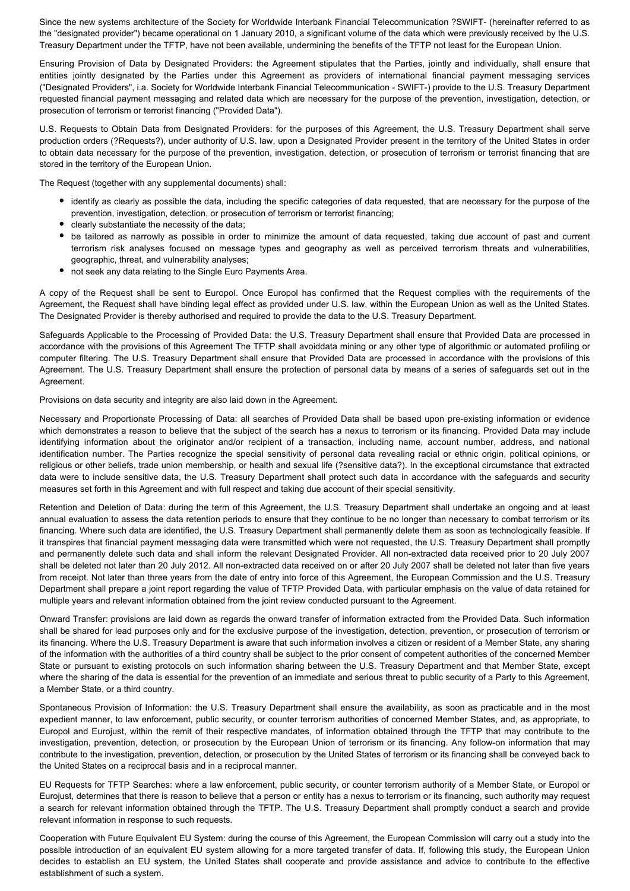Since the new systems architecture of the Society for Worldwide Interbank Financial Telecommunication ?SWIFT- (hereinafter referred to as the "designated provider") became operational on 1 January 2010, a significant volume of the data which were previously received by the U.S. Treasury Department under the TFTP, have not been available, undermining the benefits of the TFTP not least for the European Union.

Ensuring Provision of Data by Designated Providers: the Agreement stipulates that the Parties, jointly and individually, shall ensure that entities jointly designated by the Parties under this Agreement as providers of international financial payment messaging services ("Designated Providers", i.a. Society for Worldwide Interbank Financial Telecommunication - SWIFT-) provide to the U.S. Treasury Department requested financial payment messaging and related data which are necessary for the purpose of the prevention, investigation, detection, or prosecution of terrorism or terrorist financing ("Provided Data").

U.S. Requests to Obtain Data from Designated Providers: for the purposes of this Agreement, the U.S. Treasury Department shall serve production orders (?Requests?), under authority of U.S. law, upon a Designated Provider present in the territory of the United States in order to obtain data necessary for the purpose of the prevention, investigation, detection, or prosecution of terrorism or terrorist financing that are stored in the territory of the European Union.

The Request (together with any supplemental documents) shall:

- identify as clearly as possible the data, including the specific categories of data requested, that are necessary for the purpose of the prevention, investigation, detection, or prosecution of terrorism or terrorist financing;
- clearly substantiate the necessity of the data;
- be tailored as narrowly as possible in order to minimize the amount of data requested, taking due account of past and current terrorism risk analyses focused on message types and geography as well as perceived terrorism threats and vulnerabilities, geographic, threat, and vulnerability analyses;
- not seek any data relating to the Single Euro Payments Area.

A copy of the Request shall be sent to Europol. Once Europol has confirmed that the Request complies with the requirements of the Agreement, the Request shall have binding legal effect as provided under U.S. law, within the European Union as well as the United States. The Designated Provider is thereby authorised and required to provide the data to the U.S. Treasury Department.

Safeguards Applicable to the Processing of Provided Data: the U.S. Treasury Department shall ensure that Provided Data are processed in accordance with the provisions of this Agreement The TFTP shall avoiddata mining or any other type of algorithmic or automated profiling or computer filtering. The U.S. Treasury Department shall ensure that Provided Data are processed in accordance with the provisions of this Agreement. The U.S. Treasury Department shall ensure the protection of personal data by means of a series of safeguards set out in the Agreement.

Provisions on data security and integrity are also laid down in the Agreement.

Necessary and Proportionate Processing of Data: all searches of Provided Data shall be based upon pre-existing information or evidence which demonstrates a reason to believe that the subject of the search has a nexus to terrorism or its financing. Provided Data may include identifying information about the originator and/or recipient of a transaction, including name, account number, address, and national identification number. The Parties recognize the special sensitivity of personal data revealing racial or ethnic origin, political opinions, or religious or other beliefs, trade union membership, or health and sexual life (?sensitive data?). In the exceptional circumstance that extracted data were to include sensitive data, the U.S. Treasury Department shall protect such data in accordance with the safeguards and security measures set forth in this Agreement and with full respect and taking due account of their special sensitivity.

Retention and Deletion of Data: during the term of this Agreement, the U.S. Treasury Department shall undertake an ongoing and at least annual evaluation to assess the data retention periods to ensure that they continue to be no longer than necessary to combat terrorism or its financing. Where such data are identified, the U.S. Treasury Department shall permanently delete them as soon as technologically feasible. If it transpires that financial payment messaging data were transmitted which were not requested, the U.S. Treasury Department shall promptly and permanently delete such data and shall inform the relevant Designated Provider. All non-extracted data received prior to 20 July 2007 shall be deleted not later than 20 July 2012. All non-extracted data received on or after 20 July 2007 shall be deleted not later than five years from receipt. Not later than three years from the date of entry into force of this Agreement, the European Commission and the U.S. Treasury Department shall prepare a joint report regarding the value of TFTP Provided Data, with particular emphasis on the value of data retained for multiple years and relevant information obtained from the joint review conducted pursuant to the Agreement.

Onward Transfer: provisions are laid down as regards the onward transfer of information extracted from the Provided Data. Such information shall be shared for lead purposes only and for the exclusive purpose of the investigation, detection, prevention, or prosecution of terrorism or its financing. Where the U.S. Treasury Department is aware that such information involves a citizen or resident of a Member State, any sharing of the information with the authorities of a third country shall be subject to the prior consent of competent authorities of the concerned Member State or pursuant to existing protocols on such information sharing between the U.S. Treasury Department and that Member State, except where the sharing of the data is essential for the prevention of an immediate and serious threat to public security of a Party to this Agreement, a Member State, or a third country.

Spontaneous Provision of Information: the U.S. Treasury Department shall ensure the availability, as soon as practicable and in the most expedient manner, to law enforcement, public security, or counter terrorism authorities of concerned Member States, and, as appropriate, to Europol and Eurojust, within the remit of their respective mandates, of information obtained through the TFTP that may contribute to the investigation, prevention, detection, or prosecution by the European Union of terrorism or its financing. Any follow-on information that may contribute to the investigation, prevention, detection, or prosecution by the United States of terrorism or its financing shall be conveyed back to the United States on a reciprocal basis and in a reciprocal manner.

EU Requests for TFTP Searches: where a law enforcement, public security, or counter terrorism authority of a Member State, or Europol or Eurojust, determines that there is reason to believe that a person or entity has a nexus to terrorism or its financing, such authority may request a search for relevant information obtained through the TFTP. The U.S. Treasury Department shall promptly conduct a search and provide relevant information in response to such requests.

Cooperation with Future Equivalent EU System: during the course of this Agreement, the European Commission will carry out a study into the possible introduction of an equivalent EU system allowing for a more targeted transfer of data. If, following this study, the European Union decides to establish an EU system, the United States shall cooperate and provide assistance and advice to contribute to the effective establishment of such a system.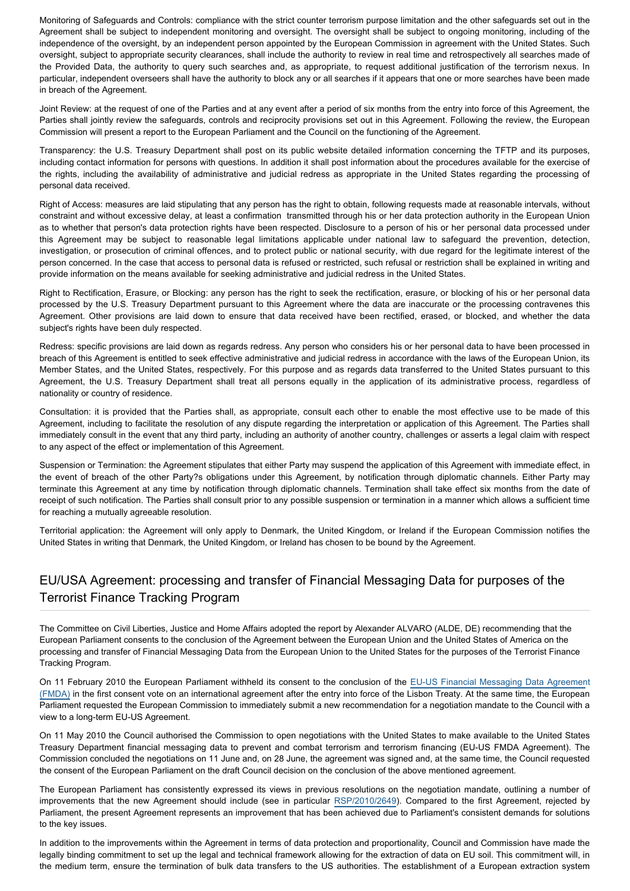Monitoring of Safeguards and Controls: compliance with the strict counter terrorism purpose limitation and the other safeguards set out in the Agreement shall be subject to independent monitoring and oversight. The oversight shall be subject to ongoing monitoring, including of the independence of the oversight, by an independent person appointed by the European Commission in agreement with the United States. Such oversight, subject to appropriate security clearances, shall include the authority to review in real time and retrospectively all searches made of the Provided Data, the authority to query such searches and, as appropriate, to request additional justification of the terrorism nexus. In particular, independent overseers shall have the authority to block any or all searches if it appears that one or more searches have been made in breach of the Agreement.

Joint Review: at the request of one of the Parties and at any event after a period of six months from the entry into force of this Agreement, the Parties shall jointly review the safeguards, controls and reciprocity provisions set out in this Agreement. Following the review, the European Commission will present a report to the European Parliament and the Council on the functioning of the Agreement.

Transparency: the U.S. Treasury Department shall post on its public website detailed information concerning the TFTP and its purposes, including contact information for persons with questions. In addition it shall post information about the procedures available for the exercise of the rights, including the availability of administrative and judicial redress as appropriate in the United States regarding the processing of personal data received.

Right of Access: measures are laid stipulating that any person has the right to obtain, following requests made at reasonable intervals, without constraint and without excessive delay, at least a confirmation transmitted through his or her data protection authority in the European Union as to whether that person's data protection rights have been respected. Disclosure to a person of his or her personal data processed under this Agreement may be subject to reasonable legal limitations applicable under national law to safeguard the prevention, detection, investigation, or prosecution of criminal offences, and to protect public or national security, with due regard for the legitimate interest of the person concerned. In the case that access to personal data is refused or restricted, such refusal or restriction shall be explained in writing and provide information on the means available for seeking administrative and judicial redress in the United States.

Right to Rectification, Erasure, or Blocking: any person has the right to seek the rectification, erasure, or blocking of his or her personal data processed by the U.S. Treasury Department pursuant to this Agreement where the data are inaccurate or the processing contravenes this Agreement. Other provisions are laid down to ensure that data received have been rectified, erased, or blocked, and whether the data subject's rights have been duly respected.

Redress: specific provisions are laid down as regards redress. Any person who considers his or her personal data to have been processed in breach of this Agreement is entitled to seek effective administrative and judicial redress in accordance with the laws of the European Union, its Member States, and the United States, respectively. For this purpose and as regards data transferred to the United States pursuant to this Agreement, the U.S. Treasury Department shall treat all persons equally in the application of its administrative process, regardless of nationality or country of residence.

Consultation: it is provided that the Parties shall, as appropriate, consult each other to enable the most effective use to be made of this Agreement, including to facilitate the resolution of any dispute regarding the interpretation or application of this Agreement. The Parties shall immediately consult in the event that any third party, including an authority of another country, challenges or asserts a legal claim with respect to any aspect of the effect or implementation of this Agreement.

Suspension or Termination: the Agreement stipulates that either Party may suspend the application of this Agreement with immediate effect, in the event of breach of the other Party?s obligations under this Agreement, by notification through diplomatic channels. Either Party may terminate this Agreement at any time by notification through diplomatic channels. Termination shall take effect six months from the date of receipt of such notification. The Parties shall consult prior to any possible suspension or termination in a manner which allows a sufficient time for reaching a mutually agreeable resolution.

Territorial application: the Agreement will only apply to Denmark, the United Kingdom, or Ireland if the European Commission notifies the United States in writing that Denmark, the United Kingdom, or Ireland has chosen to be bound by the Agreement.

#### EU/USA Agreement: processing and transfer of Financial Messaging Data for purposes of the Terrorist Finance Tracking Program

The Committee on Civil Liberties, Justice and Home Affairs adopted the report by Alexander ALVARO (ALDE, DE) recommending that the European Parliament consents to the conclusion of the Agreement between the European Union and the United States of America on the processing and transfer of Financial Messaging Data from the European Union to the United States for the purposes of the Terrorist Finance Tracking Program.

On 11 February 2010 the European Parliament withheld its consent to the conclusion of the [EU-US Financial Messaging Data Agreemen](http://www.europarl.europa.eu/oeil/FindByProcnum.do?lang=en&procnum=NLE/2009/0190)t [\(FMDA\)](http://www.europarl.europa.eu/oeil/FindByProcnum.do?lang=en&procnum=NLE/2009/0190) in the first consent vote on an international agreement after the entry into force of the Lisbon Treaty. At the same time, the European Parliament requested the European Commission to immediately submit a new recommendation for a negotiation mandate to the Council with a view to a long-term EU-US Agreement.

On 11 May 2010 the Council authorised the Commission to open negotiations with the United States to make available to the United States Treasury Department financial messaging data to prevent and combat terrorism and terrorism financing (EU-US FMDA Agreement). The Commission concluded the negotiations on 11 June and, on 28 June, the agreement was signed and, at the same time, the Council requested the consent of the European Parliament on the draft Council decision on the conclusion of the above mentioned agreement.

The European Parliament has consistently expressed its views in previous resolutions on the negotiation mandate, outlining a number of improvements that the new Agreement should include (see in particular [RSP/2010/2649](http://www.europarl.europa.eu/oeil/FindByProcnum.do?lang=en&procnum=RSP/2010/2649)). Compared to the first Agreement, rejected by Parliament, the present Agreement represents an improvement that has been achieved due to Parliament's consistent demands for solutions to the key issues.

In addition to the improvements within the Agreement in terms of data protection and proportionality, Council and Commission have made the legally binding commitment to set up the legal and technical framework allowing for the extraction of data on EU soil. This commitment will, in the medium term, ensure the termination of bulk data transfers to the US authorities. The establishment of a European extraction system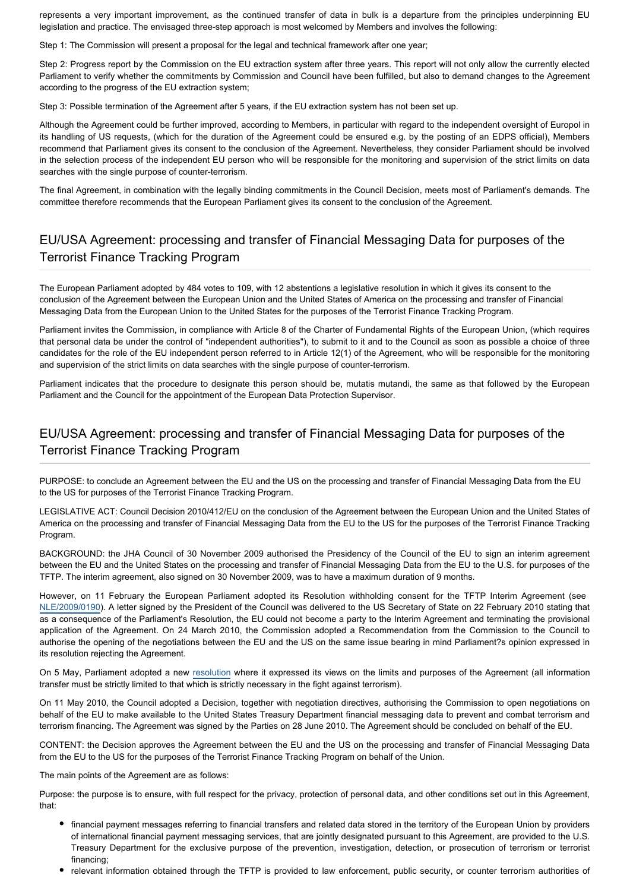represents a very important improvement, as the continued transfer of data in bulk is a departure from the principles underpinning EU legislation and practice. The envisaged three-step approach is most welcomed by Members and involves the following:

Step 1: The Commission will present a proposal for the legal and technical framework after one year;

Step 2: Progress report by the Commission on the EU extraction system after three years. This report will not only allow the currently elected Parliament to verify whether the commitments by Commission and Council have been fulfilled, but also to demand changes to the Agreement according to the progress of the EU extraction system;

Step 3: Possible termination of the Agreement after 5 years, if the EU extraction system has not been set up.

Although the Agreement could be further improved, according to Members, in particular with regard to the independent oversight of Europol in its handling of US requests, (which for the duration of the Agreement could be ensured e.g. by the posting of an EDPS official), Members recommend that Parliament gives its consent to the conclusion of the Agreement. Nevertheless, they consider Parliament should be involved in the selection process of the independent EU person who will be responsible for the monitoring and supervision of the strict limits on data searches with the single purpose of counter-terrorism.

The final Agreement, in combination with the legally binding commitments in the Council Decision, meets most of Parliament's demands. The committee therefore recommends that the European Parliament gives its consent to the conclusion of the Agreement.

#### EU/USA Agreement: processing and transfer of Financial Messaging Data for purposes of the Terrorist Finance Tracking Program

The European Parliament adopted by 484 votes to 109, with 12 abstentions a legislative resolution in which it gives its consent to the conclusion of the Agreement between the European Union and the United States of America on the processing and transfer of Financial Messaging Data from the European Union to the United States for the purposes of the Terrorist Finance Tracking Program.

Parliament invites the Commission, in compliance with Article 8 of the Charter of Fundamental Rights of the European Union, (which requires that personal data be under the control of "independent authorities"), to submit to it and to the Council as soon as possible a choice of three candidates for the role of the EU independent person referred to in Article 12(1) of the Agreement, who will be responsible for the monitoring and supervision of the strict limits on data searches with the single purpose of counter-terrorism.

Parliament indicates that the procedure to designate this person should be, mutatis mutandi, the same as that followed by the European Parliament and the Council for the appointment of the European Data Protection Supervisor.

#### EU/USA Agreement: processing and transfer of Financial Messaging Data for purposes of the Terrorist Finance Tracking Program

PURPOSE: to conclude an Agreement between the EU and the US on the processing and transfer of Financial Messaging Data from the EU to the US for purposes of the Terrorist Finance Tracking Program.

LEGISLATIVE ACT: Council Decision 2010/412/EU on the conclusion of the Agreement between the European Union and the United States of America on the processing and transfer of Financial Messaging Data from the EU to the US for the purposes of the Terrorist Finance Tracking Program.

BACKGROUND: the JHA Council of 30 November 2009 authorised the Presidency of the Council of the EU to sign an interim agreement between the EU and the United States on the processing and transfer of Financial Messaging Data from the EU to the U.S. for purposes of the TFTP. The interim agreement, also signed on 30 November 2009, was to have a maximum duration of 9 months.

However, on 11 February the European Parliament adopted its Resolution withholding consent for the TFTP Interim Agreement (see [NLE/2009/0190\)](http://www.europarl.europa.eu/oeil/FindByProcnum.do?lang=en&procnum=NLE/2009/0190). A letter signed by the President of the Council was delivered to the US Secretary of State on 22 February 2010 stating that as a consequence of the Parliament's Resolution, the EU could not become a party to the Interim Agreement and terminating the provisional application of the Agreement. On 24 March 2010, the Commission adopted a Recommendation from the Commission to the Council to authorise the opening of the negotiations between the EU and the US on the same issue bearing in mind Parliament?s opinion expressed in its resolution rejecting the Agreement.

On 5 May, Parliament adopted a new [resolution](http://www.europarl.europa.eu/oeil/FindByProcnum.do?lang=en&procnum=RSP/2010/2649) where it expressed its views on the limits and purposes of the Agreement (all information transfer must be strictly limited to that which is strictly necessary in the fight against terrorism).

On 11 May 2010, the Council adopted a Decision, together with negotiation directives, authorising the Commission to open negotiations on behalf of the EU to make available to the United States Treasury Department financial messaging data to prevent and combat terrorism and terrorism financing. The Agreement was signed by the Parties on 28 June 2010. The Agreement should be concluded on behalf of the EU.

CONTENT: the Decision approves the Agreement between the EU and the US on the processing and transfer of Financial Messaging Data from the EU to the US for the purposes of the Terrorist Finance Tracking Program on behalf of the Union.

The main points of the Agreement are as follows:

Purpose: the purpose is to ensure, with full respect for the privacy, protection of personal data, and other conditions set out in this Agreement, that:

- financial payment messages referring to financial transfers and related data stored in the territory of the European Union by providers of international financial payment messaging services, that are jointly designated pursuant to this Agreement, are provided to the U.S. Treasury Department for the exclusive purpose of the prevention, investigation, detection, or prosecution of terrorism or terrorist financing;
- relevant information obtained through the TFTP is provided to law enforcement, public security, or counter terrorism authorities of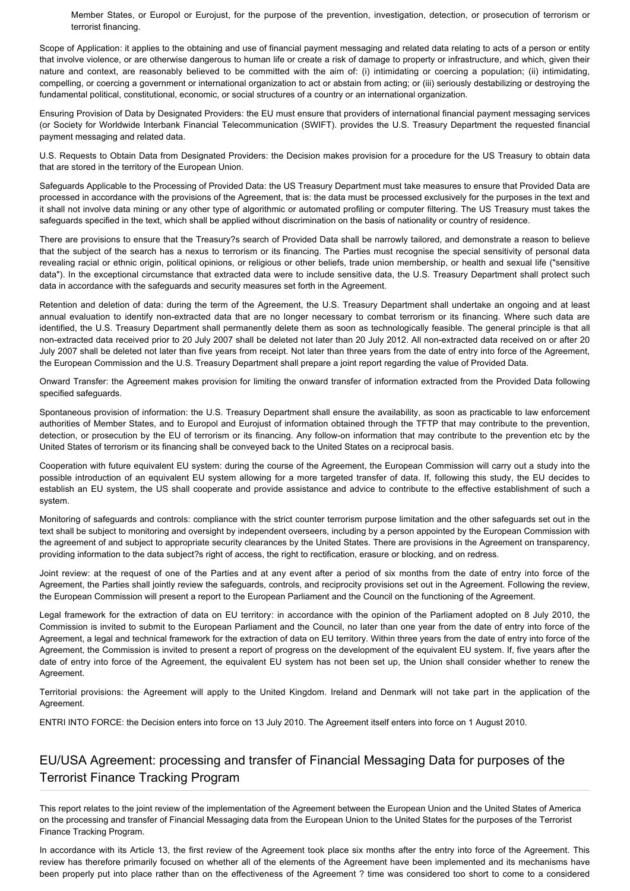Member States, or Europol or Eurojust, for the purpose of the prevention, investigation, detection, or prosecution of terrorism or terrorist financing.

Scope of Application: it applies to the obtaining and use of financial payment messaging and related data relating to acts of a person or entity that involve violence, or are otherwise dangerous to human life or create a risk of damage to property or infrastructure, and which, given their nature and context, are reasonably believed to be committed with the aim of: (i) intimidating or coercing a population; (ii) intimidating, compelling, or coercing a government or international organization to act or abstain from acting; or (iii) seriously destabilizing or destroying the fundamental political, constitutional, economic, or social structures of a country or an international organization.

Ensuring Provision of Data by Designated Providers: the EU must ensure that providers of international financial payment messaging services (or Society for Worldwide Interbank Financial Telecommunication (SWIFT). provides the U.S. Treasury Department the requested financial payment messaging and related data.

U.S. Requests to Obtain Data from Designated Providers: the Decision makes provision for a procedure for the US Treasury to obtain data that are stored in the territory of the European Union.

Safeguards Applicable to the Processing of Provided Data: the US Treasury Department must take measures to ensure that Provided Data are processed in accordance with the provisions of the Agreement, that is: the data must be processed exclusively for the purposes in the text and it shall not involve data mining or any other type of algorithmic or automated profiling or computer filtering. The US Treasury must takes the safeguards specified in the text, which shall be applied without discrimination on the basis of nationality or country of residence.

There are provisions to ensure that the Treasury?s search of Provided Data shall be narrowly tailored, and demonstrate a reason to believe that the subject of the search has a nexus to terrorism or its financing. The Parties must recognise the special sensitivity of personal data revealing racial or ethnic origin, political opinions, or religious or other beliefs, trade union membership, or health and sexual life ("sensitive data"). In the exceptional circumstance that extracted data were to include sensitive data, the U.S. Treasury Department shall protect such data in accordance with the safeguards and security measures set forth in the Agreement.

Retention and deletion of data: during the term of the Agreement, the U.S. Treasury Department shall undertake an ongoing and at least annual evaluation to identify non-extracted data that are no longer necessary to combat terrorism or its financing. Where such data are identified, the U.S. Treasury Department shall permanently delete them as soon as technologically feasible. The general principle is that all non-extracted data received prior to 20 July 2007 shall be deleted not later than 20 July 2012. All non-extracted data received on or after 20 July 2007 shall be deleted not later than five years from receipt. Not later than three years from the date of entry into force of the Agreement, the European Commission and the U.S. Treasury Department shall prepare a joint report regarding the value of Provided Data.

Onward Transfer: the Agreement makes provision for limiting the onward transfer of information extracted from the Provided Data following specified safeguards.

Spontaneous provision of information: the U.S. Treasury Department shall ensure the availability, as soon as practicable to law enforcement authorities of Member States, and to Europol and Eurojust of information obtained through the TFTP that may contribute to the prevention, detection, or prosecution by the EU of terrorism or its financing. Any follow-on information that may contribute to the prevention etc by the United States of terrorism or its financing shall be conveyed back to the United States on a reciprocal basis.

Cooperation with future equivalent EU system: during the course of the Agreement, the European Commission will carry out a study into the possible introduction of an equivalent EU system allowing for a more targeted transfer of data. If, following this study, the EU decides to establish an EU system, the US shall cooperate and provide assistance and advice to contribute to the effective establishment of such a system.

Monitoring of safeguards and controls: compliance with the strict counter terrorism purpose limitation and the other safeguards set out in the text shall be subject to monitoring and oversight by independent overseers, including by a person appointed by the European Commission with the agreement of and subject to appropriate security clearances by the United States. There are provisions in the Agreement on transparency, providing information to the data subject?s right of access, the right to rectification, erasure or blocking, and on redress.

Joint review: at the request of one of the Parties and at any event after a period of six months from the date of entry into force of the Agreement, the Parties shall jointly review the safeguards, controls, and reciprocity provisions set out in the Agreement. Following the review, the European Commission will present a report to the European Parliament and the Council on the functioning of the Agreement.

Legal framework for the extraction of data on EU territory: in accordance with the opinion of the Parliament adopted on 8 July 2010, the Commission is invited to submit to the European Parliament and the Council, no later than one year from the date of entry into force of the Agreement, a legal and technical framework for the extraction of data on EU territory. Within three years from the date of entry into force of the Agreement, the Commission is invited to present a report of progress on the development of the equivalent EU system. If, five years after the date of entry into force of the Agreement, the equivalent EU system has not been set up, the Union shall consider whether to renew the Agreement.

Territorial provisions: the Agreement will apply to the United Kingdom. Ireland and Denmark will not take part in the application of the Agreement.

ENTRI INTO FORCE: the Decision enters into force on 13 July 2010. The Agreement itself enters into force on 1 August 2010.

#### EU/USA Agreement: processing and transfer of Financial Messaging Data for purposes of the Terrorist Finance Tracking Program

This report relates to the joint review of the implementation of the Agreement between the European Union and the United States of America on the processing and transfer of Financial Messaging data from the European Union to the United States for the purposes of the Terrorist Finance Tracking Program.

In accordance with its Article 13, the first review of the Agreement took place six months after the entry into force of the Agreement. This review has therefore primarily focused on whether all of the elements of the Agreement have been implemented and its mechanisms have been properly put into place rather than on the effectiveness of the Agreement ? time was considered too short to come to a considered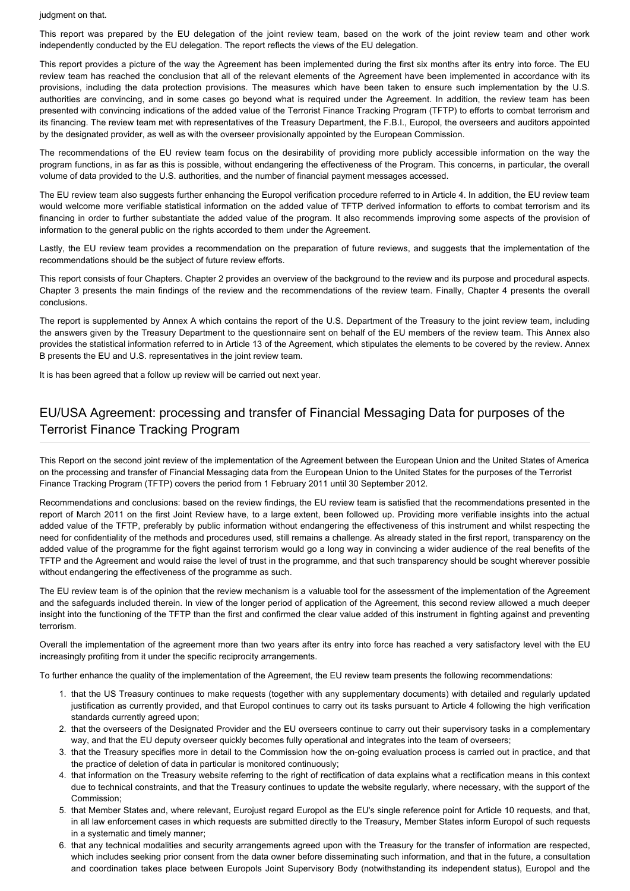judgment on that.

This report was prepared by the EU delegation of the joint review team, based on the work of the joint review team and other work independently conducted by the EU delegation. The report reflects the views of the EU delegation.

This report provides a picture of the way the Agreement has been implemented during the first six months after its entry into force. The EU review team has reached the conclusion that all of the relevant elements of the Agreement have been implemented in accordance with its provisions, including the data protection provisions. The measures which have been taken to ensure such implementation by the U.S. authorities are convincing, and in some cases go beyond what is required under the Agreement. In addition, the review team has been presented with convincing indications of the added value of the Terrorist Finance Tracking Program (TFTP) to efforts to combat terrorism and its financing. The review team met with representatives of the Treasury Department, the F.B.I., Europol, the overseers and auditors appointed by the designated provider, as well as with the overseer provisionally appointed by the European Commission.

The recommendations of the EU review team focus on the desirability of providing more publicly accessible information on the way the program functions, in as far as this is possible, without endangering the effectiveness of the Program. This concerns, in particular, the overall volume of data provided to the U.S. authorities, and the number of financial payment messages accessed.

The EU review team also suggests further enhancing the Europol verification procedure referred to in Article 4. In addition, the EU review team would welcome more verifiable statistical information on the added value of TFTP derived information to efforts to combat terrorism and its financing in order to further substantiate the added value of the program. It also recommends improving some aspects of the provision of information to the general public on the rights accorded to them under the Agreement.

Lastly, the EU review team provides a recommendation on the preparation of future reviews, and suggests that the implementation of the recommendations should be the subject of future review efforts.

This report consists of four Chapters. Chapter 2 provides an overview of the background to the review and its purpose and procedural aspects. Chapter 3 presents the main findings of the review and the recommendations of the review team. Finally, Chapter 4 presents the overall conclusions.

The report is supplemented by Annex A which contains the report of the U.S. Department of the Treasury to the joint review team, including the answers given by the Treasury Department to the questionnaire sent on behalf of the EU members of the review team. This Annex also provides the statistical information referred to in Article 13 of the Agreement, which stipulates the elements to be covered by the review. Annex B presents the EU and U.S. representatives in the joint review team.

It is has been agreed that a follow up review will be carried out next year.

### EU/USA Agreement: processing and transfer of Financial Messaging Data for purposes of the Terrorist Finance Tracking Program

This Report on the second joint review of the implementation of the Agreement between the European Union and the United States of America on the processing and transfer of Financial Messaging data from the European Union to the United States for the purposes of the Terrorist Finance Tracking Program (TFTP) covers the period from 1 February 2011 until 30 September 2012.

Recommendations and conclusions: based on the review findings, the EU review team is satisfied that the recommendations presented in the report of March 2011 on the first Joint Review have, to a large extent, been followed up. Providing more verifiable insights into the actual added value of the TFTP, preferably by public information without endangering the effectiveness of this instrument and whilst respecting the need for confidentiality of the methods and procedures used, still remains a challenge. As already stated in the first report, transparency on the added value of the programme for the fight against terrorism would go a long way in convincing a wider audience of the real benefits of the TFTP and the Agreement and would raise the level of trust in the programme, and that such transparency should be sought wherever possible without endangering the effectiveness of the programme as such.

The EU review team is of the opinion that the review mechanism is a valuable tool for the assessment of the implementation of the Agreement and the safeguards included therein. In view of the longer period of application of the Agreement, this second review allowed a much deeper insight into the functioning of the TFTP than the first and confirmed the clear value added of this instrument in fighting against and preventing terrorism.

Overall the implementation of the agreement more than two years after its entry into force has reached a very satisfactory level with the EU increasingly profiting from it under the specific reciprocity arrangements.

To further enhance the quality of the implementation of the Agreement, the EU review team presents the following recommendations:

- 1. that the US Treasury continues to make requests (together with any supplementary documents) with detailed and regularly updated justification as currently provided, and that Europol continues to carry out its tasks pursuant to Article 4 following the high verification standards currently agreed upon;
- 2. that the overseers of the Designated Provider and the EU overseers continue to carry out their supervisory tasks in a complementary way, and that the EU deputy overseer quickly becomes fully operational and integrates into the team of overseers;
- 3. that the Treasury specifies more in detail to the Commission how the on-going evaluation process is carried out in practice, and that the practice of deletion of data in particular is monitored continuously;
- 4. that information on the Treasury website referring to the right of rectification of data explains what a rectification means in this context due to technical constraints, and that the Treasury continues to update the website regularly, where necessary, with the support of the Commission;
- 5. that Member States and, where relevant, Eurojust regard Europol as the EU's single reference point for Article 10 requests, and that, in all law enforcement cases in which requests are submitted directly to the Treasury, Member States inform Europol of such requests in a systematic and timely manner;
- 6. that any technical modalities and security arrangements agreed upon with the Treasury for the transfer of information are respected, which includes seeking prior consent from the data owner before disseminating such information, and that in the future, a consultation and coordination takes place between Europols Joint Supervisory Body (notwithstanding its independent status), Europol and the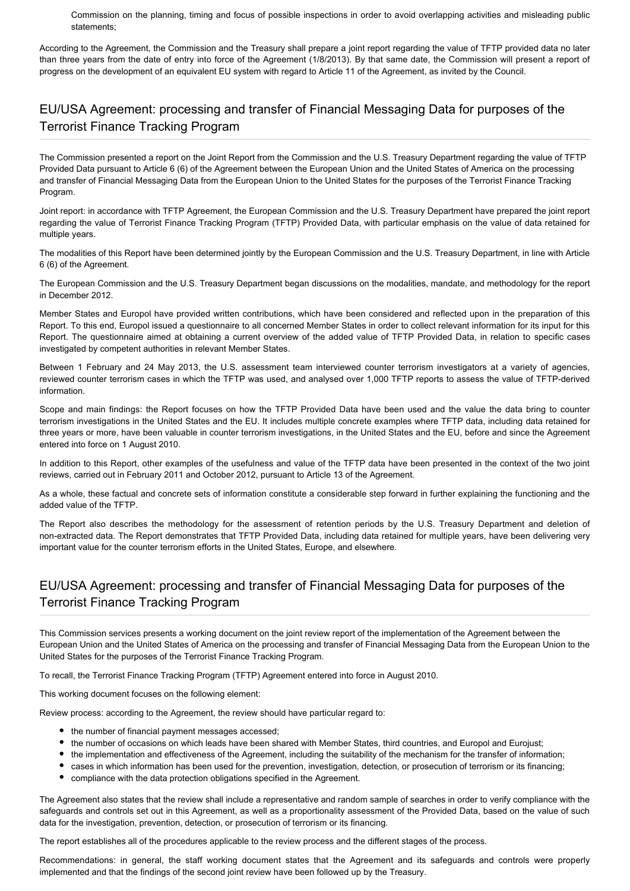Commission on the planning, timing and focus of possible inspections in order to avoid overlapping activities and misleading public statements;

According to the Agreement, the Commission and the Treasury shall prepare a joint report regarding the value of TFTP provided data no later than three years from the date of entry into force of the Agreement (1/8/2013). By that same date, the Commission will present a report of progress on the development of an equivalent EU system with regard to Article 11 of the Agreement, as invited by the Council.

#### EU/USA Agreement: processing and transfer of Financial Messaging Data for purposes of the Terrorist Finance Tracking Program

The Commission presented a report on the Joint Report from the Commission and the U.S. Treasury Department regarding the value of TFTP Provided Data pursuant to Article 6 (6) of the Agreement between the European Union and the United States of America on the processing and transfer of Financial Messaging Data from the European Union to the United States for the purposes of the Terrorist Finance Tracking Program.

Joint report: in accordance with TFTP Agreement, the European Commission and the U.S. Treasury Department have prepared the joint report regarding the value of Terrorist Finance Tracking Program (TFTP) Provided Data, with particular emphasis on the value of data retained for multiple years.

The modalities of this Report have been determined jointly by the European Commission and the U.S. Treasury Department, in line with Article 6 (6) of the Agreement.

The European Commission and the U.S. Treasury Department began discussions on the modalities, mandate, and methodology for the report in December 2012.

Member States and Europol have provided written contributions, which have been considered and reflected upon in the preparation of this Report. To this end, Europol issued a questionnaire to all concerned Member States in order to collect relevant information for its input for this Report. The questionnaire aimed at obtaining a current overview of the added value of TFTP Provided Data, in relation to specific cases investigated by competent authorities in relevant Member States.

Between 1 February and 24 May 2013, the U.S. assessment team interviewed counter terrorism investigators at a variety of agencies, reviewed counter terrorism cases in which the TFTP was used, and analysed over 1,000 TFTP reports to assess the value of TFTP-derived information.

Scope and main findings: the Report focuses on how the TFTP Provided Data have been used and the value the data bring to counter terrorism investigations in the United States and the EU. It includes multiple concrete examples where TFTP data, including data retained for three years or more, have been valuable in counter terrorism investigations, in the United States and the EU, before and since the Agreement entered into force on 1 August 2010.

In addition to this Report, other examples of the usefulness and value of the TFTP data have been presented in the context of the two joint reviews, carried out in February 2011 and October 2012, pursuant to Article 13 of the Agreement.

As a whole, these factual and concrete sets of information constitute a considerable step forward in further explaining the functioning and the added value of the TFTP.

The Report also describes the methodology for the assessment of retention periods by the U.S. Treasury Department and deletion of non-extracted data. The Report demonstrates that TFTP Provided Data, including data retained for multiple years, have been delivering very important value for the counter terrorism efforts in the United States, Europe, and elsewhere.

# EU/USA Agreement: processing and transfer of Financial Messaging Data for purposes of the Terrorist Finance Tracking Program

This Commission services presents a working document on the joint review report of the implementation of the Agreement between the European Union and the United States of America on the processing and transfer of Financial Messaging Data from the European Union to the United States for the purposes of the Terrorist Finance Tracking Program.

To recall, the Terrorist Finance Tracking Program (TFTP) Agreement entered into force in August 2010.

This working document focuses on the following element:

Review process: according to the Agreement, the review should have particular regard to:

- $\bullet$  the number of financial payment messages accessed;
- the number of occasions on which leads have been shared with Member States, third countries, and Europol and Eurojust;
- $\bullet$ the implementation and effectiveness of the Agreement, including the suitability of the mechanism for the transfer of information;
- $\bullet$ cases in which information has been used for the prevention, investigation, detection, or prosecution of terrorism or its financing;
- compliance with the data protection obligations specified in the Agreement.

The Agreement also states that the review shall include a representative and random sample of searches in order to verify compliance with the safeguards and controls set out in this Agreement, as well as a proportionality assessment of the Provided Data, based on the value of such data for the investigation, prevention, detection, or prosecution of terrorism or its financing.

The report establishes all of the procedures applicable to the review process and the different stages of the process.

Recommendations: in general, the staff working document states that the Agreement and its safeguards and controls were properly implemented and that the findings of the second joint review have been followed up by the Treasury.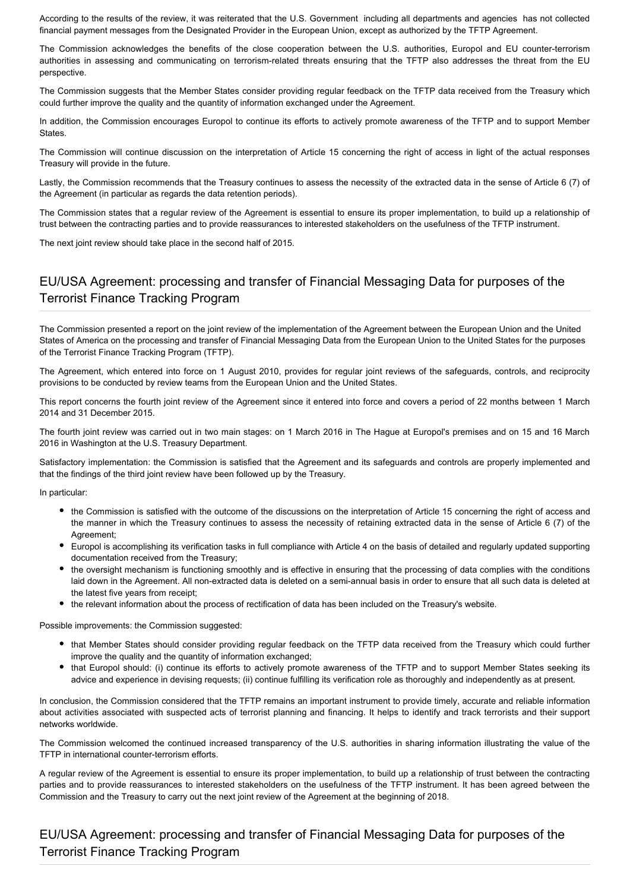According to the results of the review, it was reiterated that the U.S. Government including all departments and agencies has not collected financial payment messages from the Designated Provider in the European Union, except as authorized by the TFTP Agreement.

The Commission acknowledges the benefits of the close cooperation between the U.S. authorities, Europol and EU counter-terrorism authorities in assessing and communicating on terrorism-related threats ensuring that the TFTP also addresses the threat from the EU perspective.

The Commission suggests that the Member States consider providing regular feedback on the TFTP data received from the Treasury which could further improve the quality and the quantity of information exchanged under the Agreement.

In addition, the Commission encourages Europol to continue its efforts to actively promote awareness of the TFTP and to support Member **States** 

The Commission will continue discussion on the interpretation of Article 15 concerning the right of access in light of the actual responses Treasury will provide in the future.

Lastly, the Commission recommends that the Treasury continues to assess the necessity of the extracted data in the sense of Article 6 (7) of the Agreement (in particular as regards the data retention periods).

The Commission states that a regular review of the Agreement is essential to ensure its proper implementation, to build up a relationship of trust between the contracting parties and to provide reassurances to interested stakeholders on the usefulness of the TFTP instrument.

The next joint review should take place in the second half of 2015.

### EU/USA Agreement: processing and transfer of Financial Messaging Data for purposes of the Terrorist Finance Tracking Program

The Commission presented a report on the joint review of the implementation of the Agreement between the European Union and the United States of America on the processing and transfer of Financial Messaging Data from the European Union to the United States for the purposes of the Terrorist Finance Tracking Program (TFTP).

The Agreement, which entered into force on 1 August 2010, provides for regular joint reviews of the safeguards, controls, and reciprocity provisions to be conducted by review teams from the European Union and the United States.

This report concerns the fourth joint review of the Agreement since it entered into force and covers a period of 22 months between 1 March 2014 and 31 December 2015.

The fourth joint review was carried out in two main stages: on 1 March 2016 in The Hague at Europol's premises and on 15 and 16 March 2016 in Washington at the U.S. Treasury Department.

Satisfactory implementation: the Commission is satisfied that the Agreement and its safeguards and controls are properly implemented and that the findings of the third joint review have been followed up by the Treasury.

In particular:

- the Commission is satisfied with the outcome of the discussions on the interpretation of Article 15 concerning the right of access and the manner in which the Treasury continues to assess the necessity of retaining extracted data in the sense of Article 6 (7) of the Agreement;
- Europol is accomplishing its verification tasks in full compliance with Article 4 on the basis of detailed and regularly updated supporting documentation received from the Treasury;
- the oversight mechanism is functioning smoothly and is effective in ensuring that the processing of data complies with the conditions laid down in the Agreement. All non-extracted data is deleted on a semi-annual basis in order to ensure that all such data is deleted at the latest five years from receipt;
- the relevant information about the process of rectification of data has been included on the Treasury's website.

Possible improvements: the Commission suggested:

- that Member States should consider providing regular feedback on the TFTP data received from the Treasury which could further improve the quality and the quantity of information exchanged;
- that Europol should: (i) continue its efforts to actively promote awareness of the TFTP and to support Member States seeking its advice and experience in devising requests; (ii) continue fulfilling its verification role as thoroughly and independently as at present.

In conclusion, the Commission considered that the TFTP remains an important instrument to provide timely, accurate and reliable information about activities associated with suspected acts of terrorist planning and financing. It helps to identify and track terrorists and their support networks worldwide.

The Commission welcomed the continued increased transparency of the U.S. authorities in sharing information illustrating the value of the TFTP in international counter-terrorism efforts.

A regular review of the Agreement is essential to ensure its proper implementation, to build up a relationship of trust between the contracting parties and to provide reassurances to interested stakeholders on the usefulness of the TFTP instrument. It has been agreed between the Commission and the Treasury to carry out the next joint review of the Agreement at the beginning of 2018.

#### EU/USA Agreement: processing and transfer of Financial Messaging Data for purposes of the Terrorist Finance Tracking Program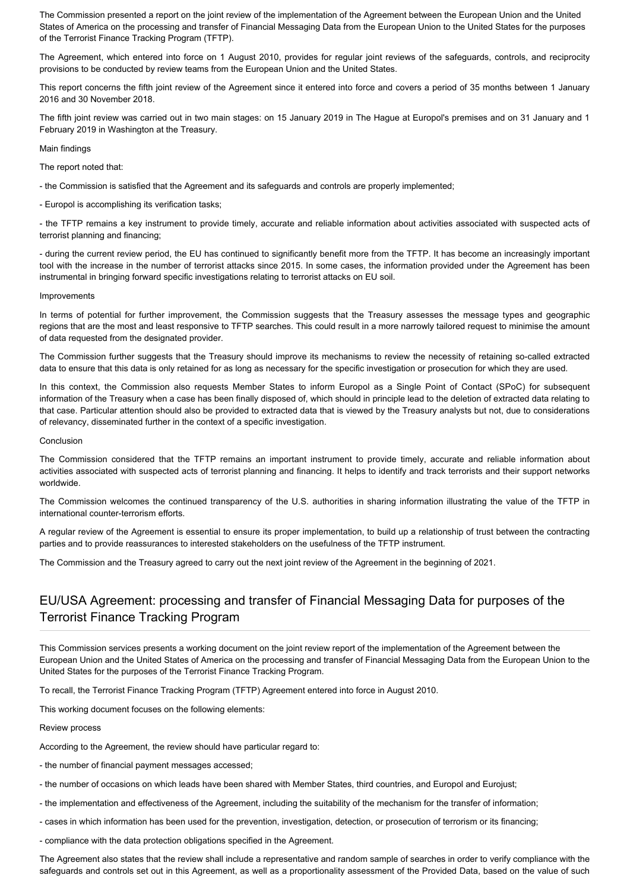The Commission presented a report on the joint review of the implementation of the Agreement between the European Union and the United States of America on the processing and transfer of Financial Messaging Data from the European Union to the United States for the purposes of the Terrorist Finance Tracking Program (TFTP).

The Agreement, which entered into force on 1 August 2010, provides for regular joint reviews of the safeguards, controls, and reciprocity provisions to be conducted by review teams from the European Union and the United States.

This report concerns the fifth joint review of the Agreement since it entered into force and covers a period of 35 months between 1 January 2016 and 30 November 2018.

The fifth joint review was carried out in two main stages: on 15 January 2019 in The Hague at Europol's premises and on 31 January and 1 February 2019 in Washington at the Treasury.

Main findings

The report noted that:

- the Commission is satisfied that the Agreement and its safeguards and controls are properly implemented;

- Europol is accomplishing its verification tasks;

- the TFTP remains a key instrument to provide timely, accurate and reliable information about activities associated with suspected acts of terrorist planning and financing;

- during the current review period, the EU has continued to significantly benefit more from the TFTP. It has become an increasingly important tool with the increase in the number of terrorist attacks since 2015. In some cases, the information provided under the Agreement has been instrumental in bringing forward specific investigations relating to terrorist attacks on EU soil.

Improvements

In terms of potential for further improvement, the Commission suggests that the Treasury assesses the message types and geographic regions that are the most and least responsive to TFTP searches. This could result in a more narrowly tailored request to minimise the amount of data requested from the designated provider.

The Commission further suggests that the Treasury should improve its mechanisms to review the necessity of retaining so-called extracted data to ensure that this data is only retained for as long as necessary for the specific investigation or prosecution for which they are used.

In this context, the Commission also requests Member States to inform Europol as a Single Point of Contact (SPoC) for subsequent information of the Treasury when a case has been finally disposed of, which should in principle lead to the deletion of extracted data relating to that case. Particular attention should also be provided to extracted data that is viewed by the Treasury analysts but not, due to considerations of relevancy, disseminated further in the context of a specific investigation.

Conclusion

The Commission considered that the TFTP remains an important instrument to provide timely, accurate and reliable information about activities associated with suspected acts of terrorist planning and financing. It helps to identify and track terrorists and their support networks worldwide.

The Commission welcomes the continued transparency of the U.S. authorities in sharing information illustrating the value of the TFTP in international counter-terrorism efforts.

A regular review of the Agreement is essential to ensure its proper implementation, to build up a relationship of trust between the contracting parties and to provide reassurances to interested stakeholders on the usefulness of the TFTP instrument.

The Commission and the Treasury agreed to carry out the next joint review of the Agreement in the beginning of 2021.

# EU/USA Agreement: processing and transfer of Financial Messaging Data for purposes of the Terrorist Finance Tracking Program

This Commission services presents a working document on the joint review report of the implementation of the Agreement between the European Union and the United States of America on the processing and transfer of Financial Messaging Data from the European Union to the United States for the purposes of the Terrorist Finance Tracking Program.

To recall, the Terrorist Finance Tracking Program (TFTP) Agreement entered into force in August 2010.

This working document focuses on the following elements:

Review process

According to the Agreement, the review should have particular regard to:

- the number of financial payment messages accessed;

- the number of occasions on which leads have been shared with Member States, third countries, and Europol and Eurojust;

- the implementation and effectiveness of the Agreement, including the suitability of the mechanism for the transfer of information;

- cases in which information has been used for the prevention, investigation, detection, or prosecution of terrorism or its financing;

- compliance with the data protection obligations specified in the Agreement.

The Agreement also states that the review shall include a representative and random sample of searches in order to verify compliance with the safeguards and controls set out in this Agreement, as well as a proportionality assessment of the Provided Data, based on the value of such